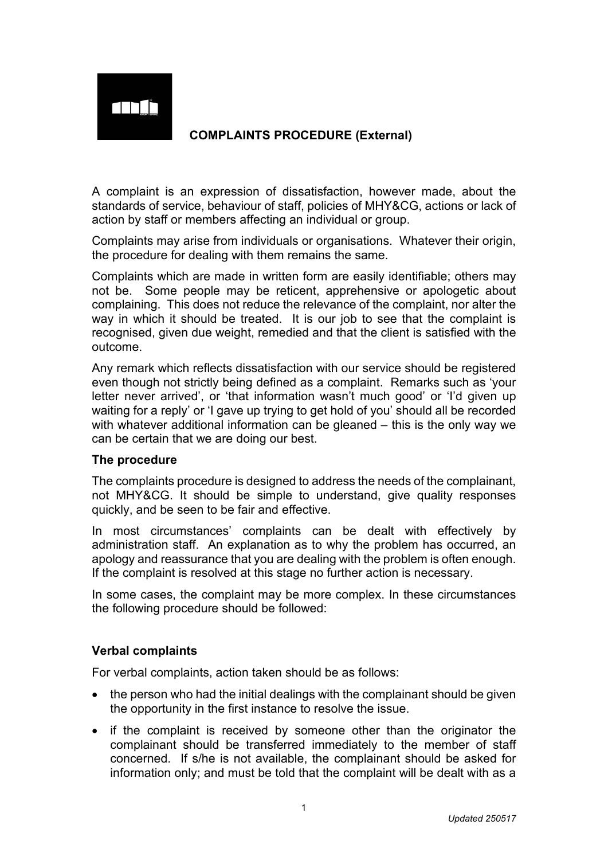# **ATH À**

## **COMPLAINTS PROCEDURE (External)**

A complaint is an expression of dissatisfaction, however made, about the standards of service, behaviour of staff, policies of MHY&CG, actions or lack of action by staff or members affecting an individual or group.

Complaints may arise from individuals or organisations. Whatever their origin, the procedure for dealing with them remains the same.

Complaints which are made in written form are easily identifiable; others may not be. Some people may be reticent, apprehensive or apologetic about complaining. This does not reduce the relevance of the complaint, nor alter the way in which it should be treated. It is our job to see that the complaint is recognised, given due weight, remedied and that the client is satisfied with the outcome.

Any remark which reflects dissatisfaction with our service should be registered even though not strictly being defined as a complaint. Remarks such as 'your letter never arrived', or 'that information wasn't much good' or 'I'd given up waiting for a reply' or 'I gave up trying to get hold of you' should all be recorded with whatever additional information can be gleaned – this is the only way we can be certain that we are doing our best.

### **The procedure**

The complaints procedure is designed to address the needs of the complainant, not MHY&CG. It should be simple to understand, give quality responses quickly, and be seen to be fair and effective.

In most circumstances' complaints can be dealt with effectively by administration staff. An explanation as to why the problem has occurred, an apology and reassurance that you are dealing with the problem is often enough. If the complaint is resolved at this stage no further action is necessary.

In some cases, the complaint may be more complex. In these circumstances the following procedure should be followed:

### **Verbal complaints**

For verbal complaints, action taken should be as follows:

- the person who had the initial dealings with the complainant should be given the opportunity in the first instance to resolve the issue.
- if the complaint is received by someone other than the originator the complainant should be transferred immediately to the member of staff concerned. If s/he is not available, the complainant should be asked for information only; and must be told that the complaint will be dealt with as a